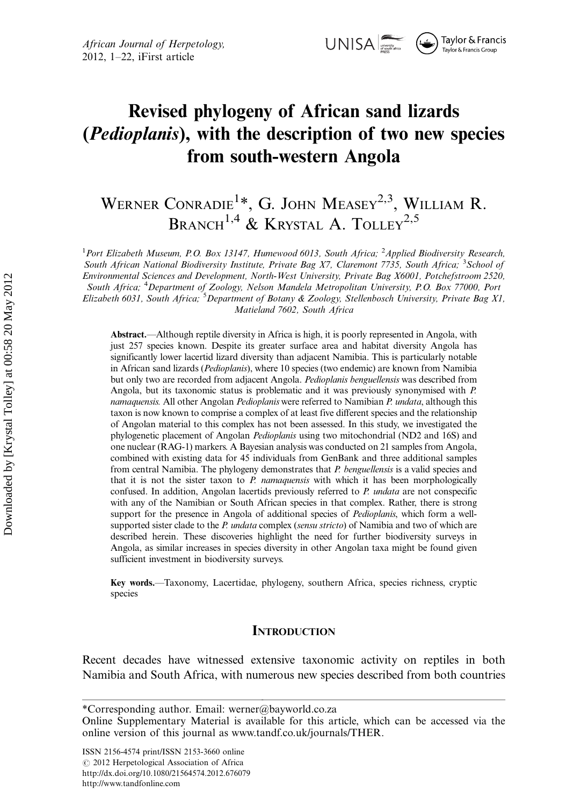

# Revised phylogeny of African sand lizards (Pedioplanis), with the description of two new species from south-western Angola

# WERNER CONRADIE<sup>1\*</sup>, G. JOHN MEASEY<sup>2,3</sup>, WILLIAM R. BRANCH<sup>1,4</sup> & KRYSTAL A. TOLLEY<sup>2,5</sup>

<sup>1</sup>Port Elizabeth Museum, P.O. Box 13147, Humewood 6013, South Africa; <sup>2</sup>Applied Biodiversity Research, South African National Biodiversity Institute, Private Bag X7, Claremont 7735, South Africa; <sup>3</sup>School of Environmental Sciences and Development, North-West University, Private Bag X6001, Potchefstroom 2520, South Africa; <sup>4</sup>Department of Zoology, Nelson Mandela Metropolitan University, P.O. Box 77000, Port Elizabeth 6031, South Africa; <sup>5</sup>Department of Botany & Zoology, Stellenbosch University, Private Bag X1, Matieland 7602, South Africa

Abstract.—Although reptile diversity in Africa is high, it is poorly represented in Angola, with just 257 species known. Despite its greater surface area and habitat diversity Angola has significantly lower lacertid lizard diversity than adjacent Namibia. This is particularly notable in African sand lizards (Pedioplanis), where 10 species (two endemic) are known from Namibia but only two are recorded from adjacent Angola. Pedioplanis benguellensis was described from Angola, but its taxonomic status is problematic and it was previously synonymised with P. namaquensis. All other Angolan Pedioplanis were referred to Namibian P. undata, although this taxon is now known to comprise a complex of at least five different species and the relationship of Angolan material to this complex has not been assessed. In this study, we investigated the phylogenetic placement of Angolan Pedioplanis using two mitochondrial (ND2 and 16S) and one nuclear (RAG-1) markers. A Bayesian analysis was conducted on 21 samples from Angola, combined with existing data for 45 individuals from GenBank and three additional samples from central Namibia. The phylogeny demonstrates that P. benguellensis is a valid species and that it is not the sister taxon to  $P$  *namaquensis* with which it has been morphologically confused. In addition, Angolan lacertids previously referred to P. undata are not conspecific with any of the Namibian or South African species in that complex. Rather, there is strong support for the presence in Angola of additional species of *Pedioplanis*, which form a wellsupported sister clade to the P. undata complex (sensu stricto) of Namibia and two of which are described herein. These discoveries highlight the need for further biodiversity surveys in Angola, as similar increases in species diversity in other Angolan taxa might be found given sufficient investment in biodiversity surveys.

Key words.—Taxonomy, Lacertidae, phylogeny, southern Africa, species richness, cryptic species

#### **INTRODUCTION**

Recent decades have witnessed extensive taxonomic activity on reptiles in both Namibia and South Africa, with numerous new species described from both countries

ISSN 2156-4574 print/ISSN 2153-3660 online  $\odot$  2012 Herpetological Association of Africa [http://dx.doi.org/10.1080/21564574.2012.676079](http://www.phylo.org/sub_sections/portal/) <http://www.tandfonline.com>

<sup>\*</sup>Corresponding author. Email: werner@bayworld.co.za

Online Supplementary Material is available for this article, which can be accessed via the online version of this journal as [www.tandf.co.uk/journals/THER.](http://dx.doi.org/10.1080/21564574.2012.676079)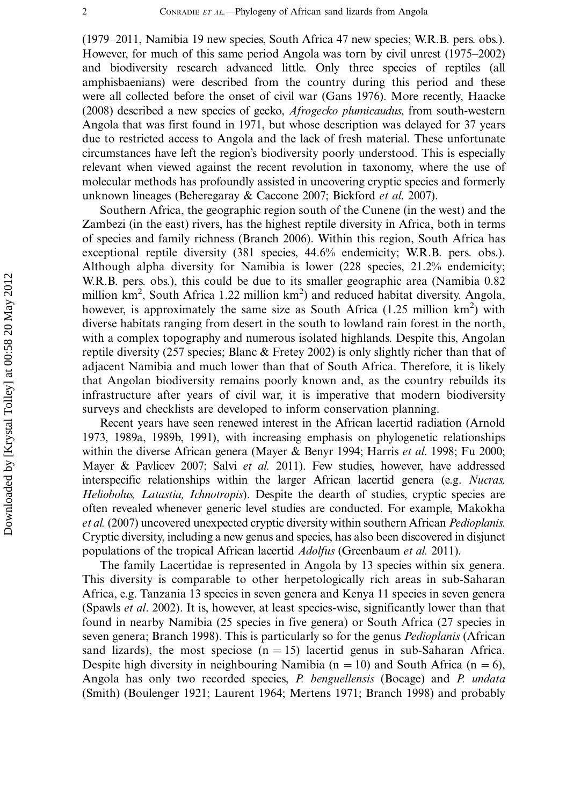(1979-2011, Namibia 19 new species, South Africa 47 new species; W.R.B. pers. obs.). However, for much of this same period Angola was torn by civil unrest (1975-2002) and biodiversity research advanced little. Only three species of reptiles (all amphisbaenians) were described from the country during this period and these were all collected before the onset of civil war (Gans 1976). More recently, Haacke (2008) described a new species of gecko, Afrogecko plumicaudus, from south-western Angola that was first found in 1971, but whose description was delayed for 37 years due to restricted access to Angola and the lack of fresh material. These unfortunate circumstances have left the region's biodiversity poorly understood. This is especially relevant when viewed against the recent revolution in taxonomy, where the use of molecular methods has profoundly assisted in uncovering cryptic species and formerly unknown lineages (Beheregaray & Caccone 2007; Bickford et al. 2007).

Southern Africa, the geographic region south of the Cunene (in the west) and the Zambezi (in the east) rivers, has the highest reptile diversity in Africa, both in terms of species and family richness (Branch 2006). Within this region, South Africa has exceptional reptile diversity (381 species, 44.6% endemicity; W.R.B. pers. obs.). Although alpha diversity for Namibia is lower (228 species, 21.2% endemicity; W.R.B. pers. obs.), this could be due to its smaller geographic area (Namibia 0.82 million km<sup>2</sup>, South Africa 1.22 million km<sup>2</sup>) and reduced habitat diversity. Angola, however, is approximately the same size as South Africa  $(1.25 \text{ million km}^2)$  with diverse habitats ranging from desert in the south to lowland rain forest in the north, with a complex topography and numerous isolated highlands. Despite this, Angolan reptile diversity (257 species; Blanc  $\&$  Fretey 2002) is only slightly richer than that of adjacent Namibia and much lower than that of South Africa. Therefore, it is likely that Angolan biodiversity remains poorly known and, as the country rebuilds its infrastructure after years of civil war, it is imperative that modern biodiversity surveys and checklists are developed to inform conservation planning.

Recent years have seen renewed interest in the African lacertid radiation (Arnold 1973, 1989a, 1989b, 1991), with increasing emphasis on phylogenetic relationships within the diverse African genera (Mayer & Benyr 1994; Harris et al. 1998; Fu 2000; Mayer & Pavlicev 2007; Salvi et al. 2011). Few studies, however, have addressed interspecific relationships within the larger African lacertid genera (e.g. Nucras, Heliobolus, Latastia, Ichnotropis). Despite the dearth of studies, cryptic species are often revealed whenever generic level studies are conducted. For example, Makokha et al. (2007) uncovered unexpected cryptic diversity within southern African *Pedioplanis*. Cryptic diversity, including a new genus and species, has also been discovered in disjunct populations of the tropical African lacertid *Adolfus* (Greenbaum et al. 2011).

The family Lacertidae is represented in Angola by 13 species within six genera. This diversity is comparable to other herpetologically rich areas in sub-Saharan Africa, e.g. Tanzania 13 species in seven genera and Kenya 11 species in seven genera (Spawls et al. 2002). It is, however, at least species-wise, significantly lower than that found in nearby Namibia (25 species in five genera) or South Africa (27 species in seven genera; Branch 1998). This is particularly so for the genus *Pedioplanis* (African sand lizards), the most speciose  $(n = 15)$  lacertid genus in sub-Saharan Africa. Despite high diversity in neighbouring Namibia (n = 10) and South Africa (n = 6), Angola has only two recorded species, P. benguellensis (Bocage) and P. undata (Smith) (Boulenger 1921; Laurent 1964; Mertens 1971; Branch 1998) and probably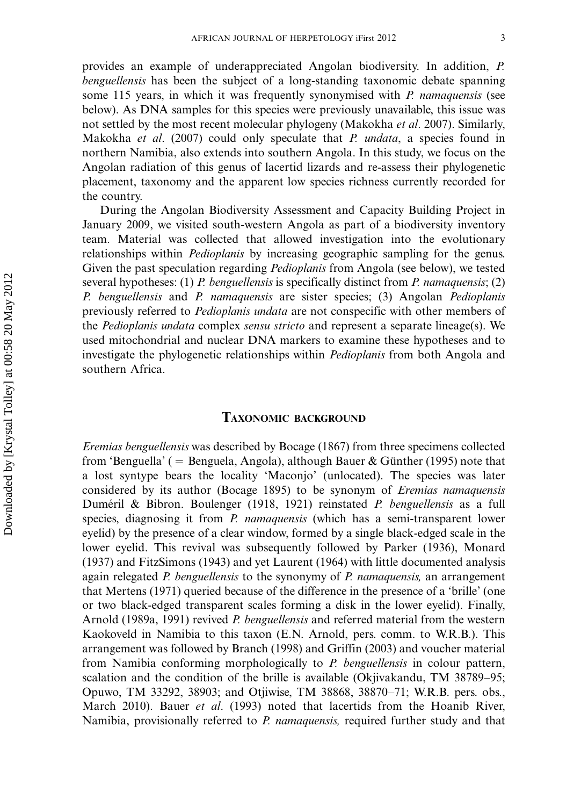provides an example of underappreciated Angolan biodiversity. In addition, P. benguellensis has been the subject of a long-standing taxonomic debate spanning some 115 years, in which it was frequently synonymised with P. namaquensis (see below). As DNA samples for this species were previously unavailable, this issue was not settled by the most recent molecular phylogeny (Makokha et al. 2007). Similarly, Makokha et al.  $(2007)$  could only speculate that *P. undata*, a species found in northern Namibia, also extends into southern Angola. In this study, we focus on the Angolan radiation of this genus of lacertid lizards and re-assess their phylogenetic placement, taxonomy and the apparent low species richness currently recorded for the country.

During the Angolan Biodiversity Assessment and Capacity Building Project in January 2009, we visited south-western Angola as part of a biodiversity inventory team. Material was collected that allowed investigation into the evolutionary relationships within *Pedioplanis* by increasing geographic sampling for the genus. Given the past speculation regarding *Pedioplanis* from Angola (see below), we tested several hypotheses: (1) P. benguellensis is specifically distinct from P. namaquensis; (2) P. benguellensis and P. namaquensis are sister species; (3) Angolan Pedioplanis previously referred to Pedioplanis undata are not conspecific with other members of the *Pedioplanis undata* complex *sensu stricto* and represent a separate lineage(s). We used mitochondrial and nuclear DNA markers to examine these hypotheses and to investigate the phylogenetic relationships within *Pedioplanis* from both Angola and southern Africa.

## TAXONOMIC BACKGROUND

Eremias benguellensis was described by Bocage (1867) from three specimens collected from 'Benguella' ( = Benguela, Angola), although Bauer & Günther (1995) note that a lost syntype bears the locality 'Maconjo' (unlocated). The species was later considered by its author (Bocage 1895) to be synonym of Eremias namaquensis Duméril & Bibron. Boulenger (1918, 1921) reinstated P. benguellensis as a full species, diagnosing it from *P. namaquensis* (which has a semi-transparent lower eyelid) by the presence of a clear window, formed by a single black-edged scale in the lower eyelid. This revival was subsequently followed by Parker (1936), Monard (1937) and FitzSimons (1943) and yet Laurent (1964) with little documented analysis again relegated *P. benguellensis* to the synonymy of *P. namaquensis*, an arrangement that Mertens (1971) queried because of the difference in the presence of a 'brille' (one or two black-edged transparent scales forming a disk in the lower eyelid). Finally, Arnold (1989a, 1991) revived *P. benguellensis* and referred material from the western Kaokoveld in Namibia to this taxon (E.N. Arnold, pers. comm. to W.R.B.). This arrangement was followed by Branch (1998) and Griffin (2003) and voucher material from Namibia conforming morphologically to P. benguellensis in colour pattern, scalation and the condition of the brille is available (Okjivakandu, TM 38789-95; Opuwo, TM 33292, 38903; and Otjiwise, TM 38868, 38870-71; W.R.B. pers. obs., March 2010). Bauer et al. (1993) noted that lacertids from the Hoanib River, Namibia, provisionally referred to P. namaquensis, required further study and that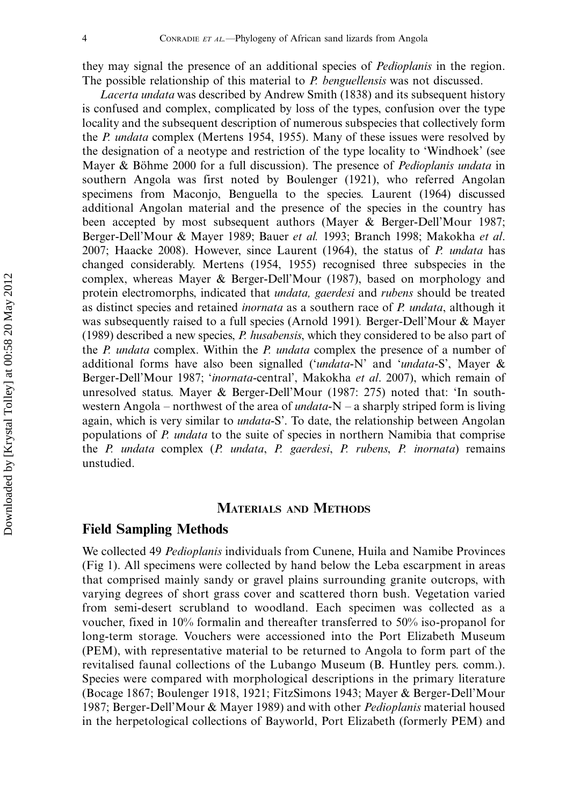they may signal the presence of an additional species of Pedioplanis in the region. The possible relationship of this material to *P. benguellensis* was not discussed.

Lacerta undata was described by Andrew Smith (1838) and its subsequent history is confused and complex, complicated by loss of the types, confusion over the type locality and the subsequent description of numerous subspecies that collectively form the *P. undata* complex (Mertens 1954, 1955). Many of these issues were resolved by the designation of a neotype and restriction of the type locality to 'Windhoek' (see Mayer & Böhme 2000 for a full discussion). The presence of *Pedioplanis undata* in southern Angola was first noted by Boulenger (1921), who referred Angolan specimens from Maconjo, Benguella to the species. Laurent (1964) discussed additional Angolan material and the presence of the species in the country has been accepted by most subsequent authors (Mayer & Berger-Dell'Mour 1987; Berger-Dell'Mour & Mayer 1989; Bauer et al. 1993; Branch 1998; Makokha et al. 2007; Haacke 2008). However, since Laurent (1964), the status of P. undata has changed considerably. Mertens (1954, 1955) recognised three subspecies in the complex, whereas Mayer & Berger-Dell'Mour (1987), based on morphology and protein electromorphs, indicated that *undata, gaerdesi* and *rubens* should be treated as distinct species and retained *inornata* as a southern race of *P. undata*, although it was subsequently raised to a full species (Arnold 1991). Berger-Dell'Mour & Mayer (1989) described a new species,  $P$ . husabensis, which they considered to be also part of the *P. undata* complex. Within the *P. undata* complex the presence of a number of additional forms have also been signalled ('undata-N' and 'undata-S', Mayer & Berger-Dell'Mour 1987; 'inornata-central', Makokha et al. 2007), which remain of unresolved status. Mayer & Berger-Dell'Mour (1987: 275) noted that: 'In southwestern Angola – northwest of the area of *undata*-N – a sharply striped form is living again, which is very similar to *undata*-S'. To date, the relationship between Angolan populations of P. *undata* to the suite of species in northern Namibia that comprise the P. undata complex (P. undata, P. gaerdesi, P. rubens, P. inornata) remains unstudied.

#### MATERIALS AND METHODS

#### Field Sampling Methods

We collected 49 *Pedioplanis* individuals from Cunene, Huila and Namibe Provinces (Fig 1). All specimens were collected by hand below the Leba escarpment in areas that comprised mainly sandy or gravel plains surrounding granite outcrops, with varying degrees of short grass cover and scattered thorn bush. Vegetation varied from semi-desert scrubland to woodland. Each specimen was collected as a voucher, fixed in 10% formalin and thereafter transferred to 50% iso-propanol for long-term storage. Vouchers were accessioned into the Port Elizabeth Museum (PEM), with representative material to be returned to Angola to form part of the revitalised faunal collections of the Lubango Museum (B. Huntley pers. comm.). Species were compared with morphological descriptions in the primary literature (Bocage 1867; Boulenger 1918, 1921; FitzSimons 1943; Mayer & Berger-Dell'Mour 1987; Berger-Dell'Mour & Mayer 1989) and with other *Pedioplanis* material housed in the herpetological collections of Bayworld, Port Elizabeth (formerly PEM) and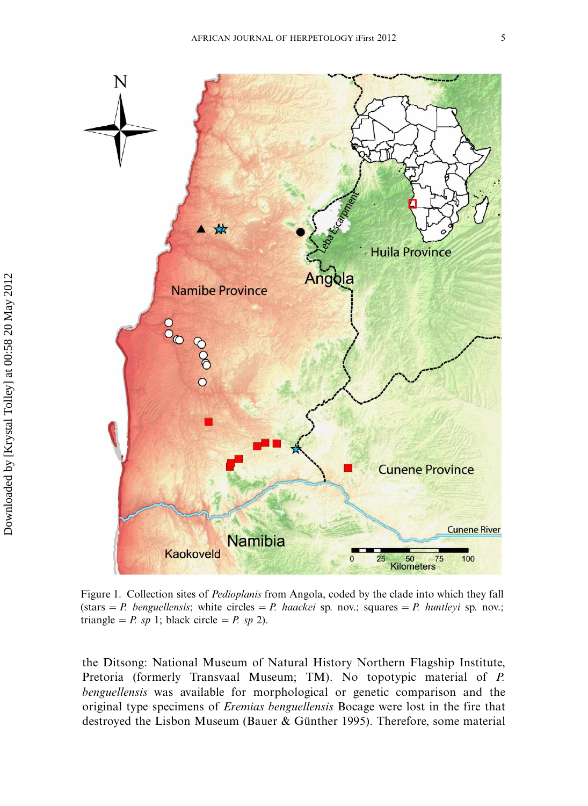

Figure 1. Collection sites of Pedioplanis from Angola, coded by the clade into which they fall (stars = P. benguellensis; white circles = P. haackei sp. nov.; squares = P. huntleyi sp. nov.; triangle = P. sp 1; black circle = P. sp 2).

the Ditsong: National Museum of Natural History Northern Flagship Institute, Pretoria (formerly Transvaal Museum; TM). No topotypic material of P. benguellensis was available for morphological or genetic comparison and the original type specimens of Eremias benguellensis Bocage were lost in the fire that destroyed the Lisbon Museum (Bauer & Günther 1995). Therefore, some material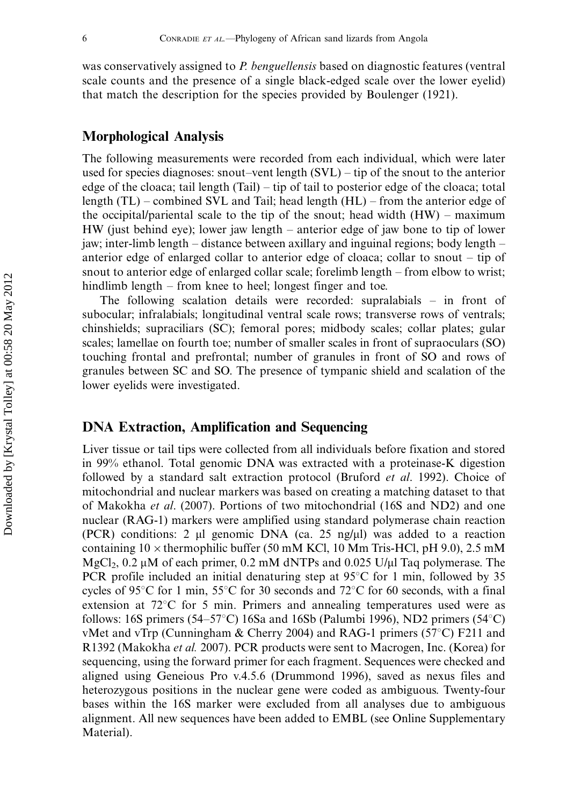was conservatively assigned to P. benguellensis based on diagnostic features (ventral scale counts and the presence of a single black-edged scale over the lower eyelid) that match the description for the species provided by Boulenger (1921).

## Morphological Analysis

The following measurements were recorded from each individual, which were later used for species diagnoses: snout-vent length (SVL) – tip of the snout to the anterior edge of the cloaca; tail length (Tail) – tip of tail to posterior edge of the cloaca; total length (TL) – combined SVL and Tail; head length (HL) – from the anterior edge of the occipital/pariental scale to the tip of the snout; head width (HW) – maximum HW (just behind eye); lower jaw length - anterior edge of jaw bone to tip of lower jaw; inter-limb length – distance between axillary and inguinal regions; body length – anterior edge of enlarged collar to anterior edge of cloaca; collar to snout – tip of snout to anterior edge of enlarged collar scale; forelimb length - from elbow to wrist; hindlimb length - from knee to heel; longest finger and toe.

The following scalation details were recorded: supralabials – in front of subocular; infralabials; longitudinal ventral scale rows; transverse rows of ventrals; chinshields; supraciliars (SC); femoral pores; midbody scales; collar plates; gular scales; lamellae on fourth toe; number of smaller scales in front of supraoculars (SO) touching frontal and prefrontal; number of granules in front of SO and rows of granules between SC and SO. The presence of tympanic shield and scalation of the lower eyelids were investigated.

# DNA Extraction, Amplification and Sequencing

Liver tissue or tail tips were collected from all individuals before fixation and stored in 99% ethanol. Total genomic DNA was extracted with a proteinase-K digestion followed by a standard salt extraction protocol (Bruford et al. 1992). Choice of mitochondrial and nuclear markers was based on creating a matching dataset to that of Makokha et al. (2007). Portions of two mitochondrial (16S and ND2) and one nuclear (RAG-1) markers were amplified using standard polymerase chain reaction (PCR) conditions: 2  $\mu$ l genomic DNA (ca. 25 ng/ $\mu$ ) was added to a reaction containing  $10 \times$  thermophilic buffer (50 mM KCl, 10 Mm Tris-HCl, pH 9.0), 2.5 mM  $MgCl<sub>2</sub>$ , 0.2 µM of each primer, 0.2 mM dNTPs and 0.025 U/µI Taq polymerase. The PCR profile included an initial denaturing step at  $95^{\circ}$ C for 1 min, followed by 35 cycles of 95 $\degree$ C for 1 min, 55 $\degree$ C for 30 seconds and 72 $\degree$ C for 60 seconds, with a final extension at  $72^{\circ}$ C for 5 min. Primers and annealing temperatures used were as follows: 16S primers (54–57°C) 16Sa and 16Sb (Palumbi 1996), ND2 primers (54°C) vMet and vTrp (Cunningham & Cherry 2004) and RAG-1 primers (57 $\degree$ C) F211 and R1392 (Makokha et al. 2007). PCR products were sent to Macrogen, Inc. (Korea) for sequencing, using the forward primer for each fragment. Sequences were checked and aligned using Geneious Pro v.4.5.6 (Drummond 1996), saved as nexus files and heterozygous positions in the nuclear gene were coded as ambiguous. Twenty-four bases within the 16S marker were excluded from all analyses due to ambiguous alignment. All new sequences have been added to EMBL (see Online Supplementary Material).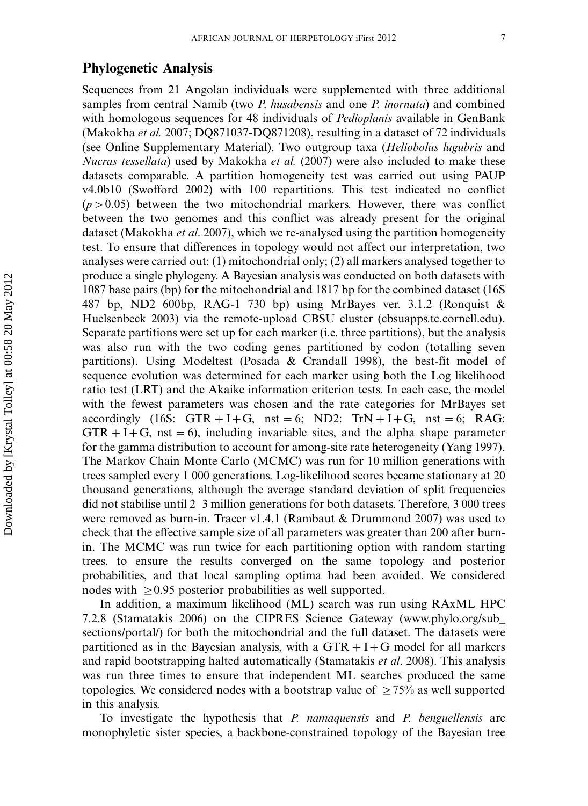# Phylogenetic Analysis

Sequences from 21 Angolan individuals were supplemented with three additional samples from central Namib (two *P. husabensis* and one *P. inornata*) and combined with homologous sequences for 48 individuals of *Pedioplanis* available in GenBank (Makokha et al. 2007; DQ871037-DQ871208), resulting in a dataset of 72 individuals (see Online Supplementary Material). Two outgroup taxa (Heliobolus lugubris and Nucras tessellata) used by Makokha et al. (2007) were also included to make these datasets comparable. A partition homogeneity test was carried out using PAUP v4.0b10 (Swofford 2002) with 100 repartitions. This test indicated no conflict  $(p>0.05)$  between the two mitochondrial markers. However, there was conflict between the two genomes and this conflict was already present for the original dataset (Makokha *et al.* 2007), which we re-analysed using the partition homogeneity test. To ensure that differences in topology would not affect our interpretation, two analyses were carried out: (1) mitochondrial only; (2) all markers analysed together to produce a single phylogeny. A Bayesian analysis was conducted on both datasets with 1087 base pairs (bp) for the mitochondrial and 1817 bp for the combined dataset (16S 487 bp, ND2 600bp, RAG-1 730 bp) using MrBayes ver. 3.1.2 (Ronquist & Huelsenbeck 2003) via the remote-upload CBSU cluster (cbsuapps.tc.cornell.edu). Separate partitions were set up for each marker (i.e. three partitions), but the analysis was also run with the two coding genes partitioned by codon (totalling seven partitions). Using Modeltest (Posada & Crandall 1998), the best-fit model of sequence evolution was determined for each marker using both the Log likelihood ratio test (LRT) and the Akaike information criterion tests. In each case, the model with the fewest parameters was chosen and the rate categories for MrBayes set accordingly (16S: GTR + I + G, nst = 6; ND2: TrN + I + G, nst = 6; RAG:  $GTR + I + G$ , nst = 6), including invariable sites, and the alpha shape parameter for the gamma distribution to account for among-site rate heterogeneity (Yang 1997). The Markov Chain Monte Carlo (MCMC) was run for 10 million generations with trees sampled every 1 000 generations. Log-likelihood scores became stationary at 20 thousand generations, although the average standard deviation of split frequencies did not stabilise until 2-3 million generations for both datasets. Therefore, 3 000 trees were removed as burn-in. Tracer v1.4.1 (Rambaut & Drummond 2007) was used to check that the effective sample size of all parameters was greater than 200 after burnin. The MCMC was run twice for each partitioning option with random starting trees, to ensure the results converged on the same topology and posterior probabilities, and that local sampling optima had been avoided. We considered nodes with  $\geq 0.95$  posterior probabilities as well supported.

In addition, a maximum likelihood (ML) search was run using RAxML HPC 7.2.8 (Stamatakis 2006) on the CIPRES Science Gateway ([www.phylo.org/sub\\_](http://www.geneious.com/) [sections/portal/](http://www.geneious.com/)) for both the mitochondrial and the full dataset. The datasets were partitioned as in the Bayesian analysis, with a  $GTR + I+G$  model for all markers and rapid bootstrapping halted automatically (Stamatakis *et al.* 2008). This analysis was run three times to ensure that independent ML searches produced the same topologies. We considered nodes with a bootstrap value of  $\geq 75\%$  as well supported in this analysis.

To investigate the hypothesis that *P. namaquensis* and *P. benguellensis* are monophyletic sister species, a backbone-constrained topology of the Bayesian tree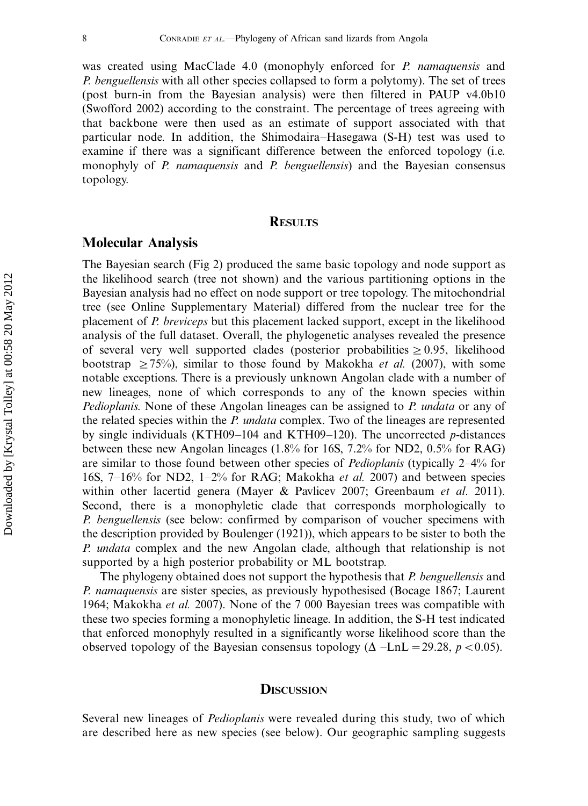was created using MacClade 4.0 (monophyly enforced for P. namaquensis and P. benguellensis with all other species collapsed to form a polytomy). The set of trees (post burn-in from the Bayesian analysis) were then filtered in PAUP v4.0b10 (Swofford 2002) according to the constraint. The percentage of trees agreeing with that backbone were then used as an estimate of support associated with that particular node. In addition, the Shimodaira-Hasegawa (S-H) test was used to examine if there was a significant difference between the enforced topology (i.e. monophyly of P. namaquensis and P. benguellensis) and the Bayesian consensus topology.

#### **RESULTS**

#### Molecular Analysis

The Bayesian search (Fig 2) produced the same basic topology and node support as the likelihood search (tree not shown) and the various partitioning options in the Bayesian analysis had no effect on node support or tree topology. The mitochondrial tree (see Online Supplementary Material) differed from the nuclear tree for the placement of P. breviceps but this placement lacked support, except in the likelihood analysis of the full dataset. Overall, the phylogenetic analyses revealed the presence of several very well supported clades (posterior probabilities  $\geq 0.95$ , likelihood bootstrap  $\geq 75\%$ ), similar to those found by Makokha *et al.* (2007), with some notable exceptions. There is a previously unknown Angolan clade with a number of new lineages, none of which corresponds to any of the known species within Pedioplanis. None of these Angolan lineages can be assigned to P. undata or any of the related species within the *P. undata* complex. Two of the lineages are represented by single individuals (KTH09–104 and KTH09–120). The uncorrected p-distances between these new Angolan lineages (1.8% for 16S, 7.2% for ND2, 0.5% for RAG) are similar to those found between other species of *Pedioplanis* (typically 2–4% for 16S, 7-16% for ND2, 1-2% for RAG; Makokha et al. 2007) and between species within other lacertid genera (Mayer & Pavlicev 2007; Greenbaum et al. 2011). Second, there is a monophyletic clade that corresponds morphologically to P. benguellensis (see below: confirmed by comparison of voucher specimens with the description provided by Boulenger (1921)), which appears to be sister to both the P. undata complex and the new Angolan clade, although that relationship is not supported by a high posterior probability or ML bootstrap.

The phylogeny obtained does not support the hypothesis that *P. benguellensis* and P. namaquensis are sister species, as previously hypothesised (Bocage 1867; Laurent 1964; Makokha et al. 2007). None of the 7 000 Bayesian trees was compatible with these two species forming a monophyletic lineage. In addition, the S-H test indicated that enforced monophyly resulted in a significantly worse likelihood score than the observed topology of the Bayesian consensus topology ( $\Delta$  -LnL = 29.28, p < 0.05).

#### **DISCUSSION**

Several new lineages of Pedioplanis were revealed during this study, two of which are described here as new species (see below). Our geographic sampling suggests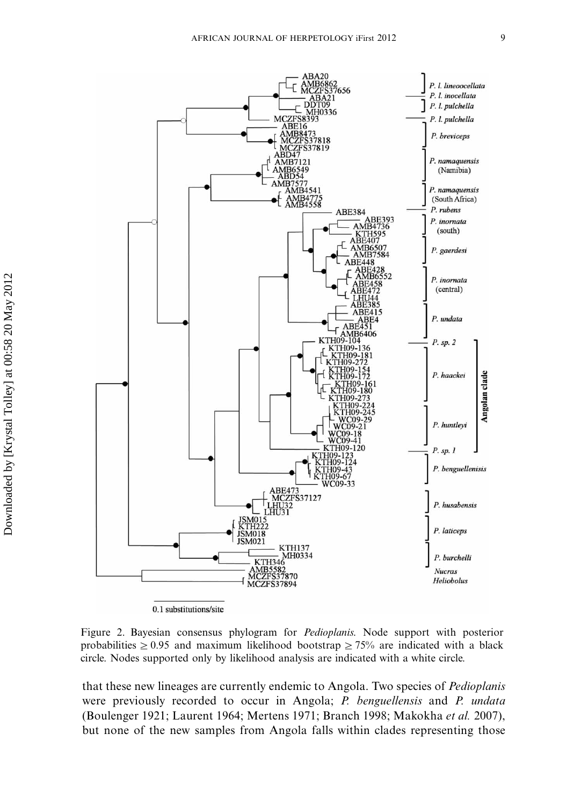

Figure 2. Bayesian consensus phylogram for Pedioplanis. Node support with posterior probabilities  $\geq 0.95$  and maximum likelihood bootstrap  $\geq 75\%$  are indicated with a black circle. Nodes supported only by likelihood analysis are indicated with a white circle.

that these new lineages are currently endemic to Angola. Two species of *Pedioplanis* were previously recorded to occur in Angola; P. benguellensis and P. undata (Boulenger 1921; Laurent 1964; Mertens 1971; Branch 1998; Makokha et al. 2007), but none of the new samples from Angola falls within clades representing those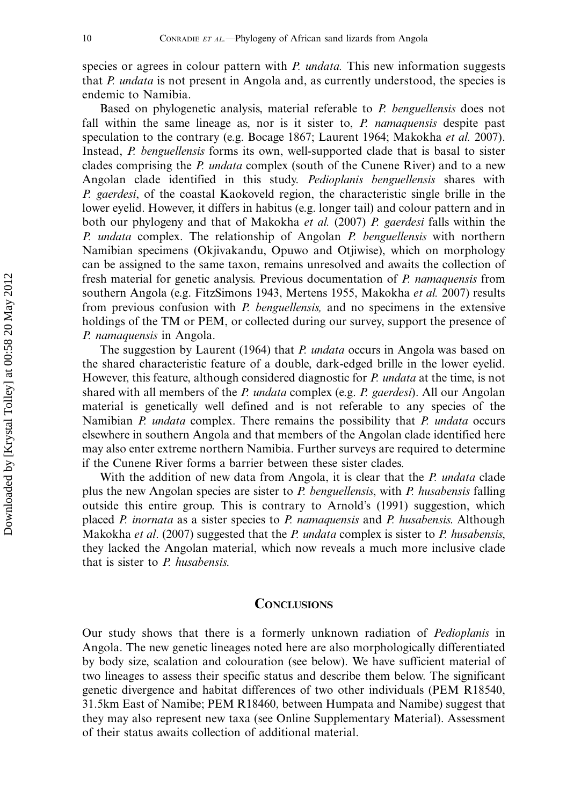species or agrees in colour pattern with P. *undata*. This new information suggests that P. undata is not present in Angola and, as currently understood, the species is endemic to Namibia.

Based on phylogenetic analysis, material referable to P. benguellensis does not fall within the same lineage as, nor is it sister to,  $P$ . *namaquensis* despite past speculation to the contrary (e.g. Bocage 1867; Laurent 1964; Makokha et al. 2007). Instead, P. benguellensis forms its own, well-supported clade that is basal to sister clades comprising the *P. undata* complex (south of the Cunene River) and to a new Angolan clade identified in this study. *Pedioplanis benguellensis* shares with P. gaerdesi, of the coastal Kaokoveld region, the characteristic single brille in the lower eyelid. However, it differs in habitus (e.g. longer tail) and colour pattern and in both our phylogeny and that of Makokha *et al.* (2007) P. gaerdesi falls within the P. undata complex. The relationship of Angolan  $P$ . benguellensis with northern Namibian specimens (Okjivakandu, Opuwo and Otjiwise), which on morphology can be assigned to the same taxon, remains unresolved and awaits the collection of fresh material for genetic analysis. Previous documentation of P. namaquensis from southern Angola (e.g. FitzSimons 1943, Mertens 1955, Makokha et al. 2007) results from previous confusion with *P. benguellensis*, and no specimens in the extensive holdings of the TM or PEM, or collected during our survey, support the presence of P. namaquensis in Angola.

The suggestion by Laurent (1964) that *P. undata* occurs in Angola was based on the shared characteristic feature of a double, dark-edged brille in the lower eyelid. However, this feature, although considered diagnostic for P. undata at the time, is not shared with all members of the P. undata complex (e.g. P. gaerdesi). All our Angolan material is genetically well defined and is not referable to any species of the Namibian P. undata complex. There remains the possibility that P. undata occurs elsewhere in southern Angola and that members of the Angolan clade identified here may also enter extreme northern Namibia. Further surveys are required to determine if the Cunene River forms a barrier between these sister clades.

With the addition of new data from Angola, it is clear that the P. undata clade plus the new Angolan species are sister to P. benguellensis, with P. husabensis falling outside this entire group. This is contrary to Arnold's (1991) suggestion, which placed P. inornata as a sister species to P. namaquensis and P. husabensis. Although Makokha et al. (2007) suggested that the P. undata complex is sister to P. husabensis, they lacked the Angolan material, which now reveals a much more inclusive clade that is sister to  $P$ . husabensis.

#### **CONCLUSIONS**

Our study shows that there is a formerly unknown radiation of Pedioplanis in Angola. The new genetic lineages noted here are also morphologically differentiated by body size, scalation and colouration (see below). We have sufficient material of two lineages to assess their specific status and describe them below. The significant genetic divergence and habitat differences of two other individuals (PEM R18540, 31.5km East of Namibe; PEM R18460, between Humpata and Namibe) suggest that they may also represent new taxa (see Online Supplementary Material). Assessment of their status awaits collection of additional material.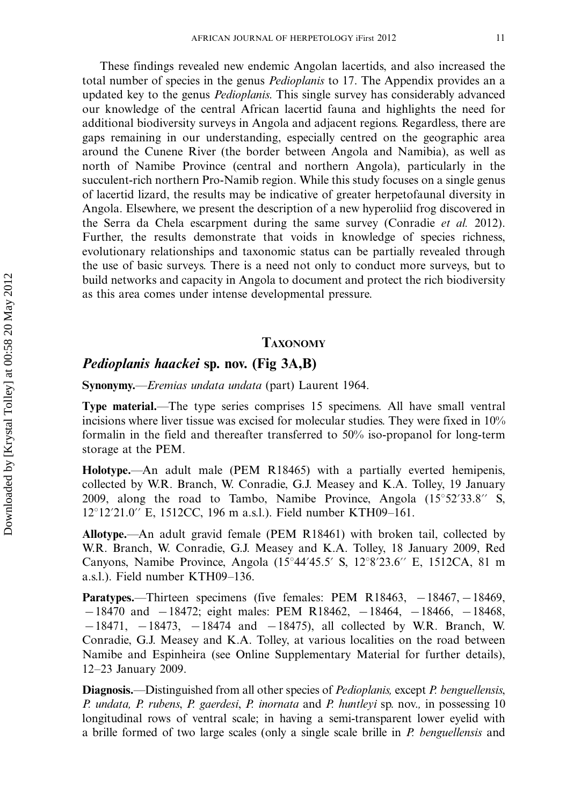These findings revealed new endemic Angolan lacertids, and also increased the total number of species in the genus *Pedioplanis* to 17. The Appendix provides an a updated key to the genus *Pedioplanis*. This single survey has considerably advanced our knowledge of the central African lacertid fauna and highlights the need for additional biodiversity surveys in Angola and adjacent regions. Regardless, there are gaps remaining in our understanding, especially centred on the geographic area around the Cunene River (the border between Angola and Namibia), as well as north of Namibe Province (central and northern Angola), particularly in the succulent-rich northern Pro-Namib region. While this study focuses on a single genus of lacertid lizard, the results may be indicative of greater herpetofaunal diversity in Angola. Elsewhere, we present the description of a new hyperoliid frog discovered in the Serra da Chela escarpment during the same survey (Conradie et al. 2012). Further, the results demonstrate that voids in knowledge of species richness, evolutionary relationships and taxonomic status can be partially revealed through the use of basic surveys. There is a need not only to conduct more surveys, but to build networks and capacity in Angola to document and protect the rich biodiversity as this area comes under intense developmental pressure.

## TAXONOMY

# Pedioplanis haackei sp. nov. (Fig 3A,B)

Synonymy.—*Eremias undata undata* (part) Laurent 1964.

**Type material.—The type series comprises 15 specimens. All have small ventral** incisions where liver tissue was excised for molecular studies. They were fixed in 10% formalin in the field and thereafter transferred to 50% iso-propanol for long-term storage at the PEM.

**Holotype.**—An adult male (PEM R18465) with a partially everted hemipenis, collected by W.R. Branch, W. Conradie, G.J. Measey and K.A. Tolley, 19 January 2009, along the road to Tambo, Namibe Province, Angola  $(15^{\circ}52'33.8''$  S, 12°12'21.0" E, 1512CC, 196 m a.s.l.). Field number KTH09–161.

Allotype.—An adult gravid female (PEM R18461) with broken tail, collected by W.R. Branch, W. Conradie, G.J. Measey and K.A. Tolley, 18 January 2009, Red Canyons, Namibe Province, Angola  $(15^{\circ}44'45.5' \text{ S}, 12^{\circ}8'23.6'' \text{ E}, 1512CA, 81 \text{ m})$ a.s.l.). Field number KTH09-136.

**Paratypes.**—Thirteen specimens (five females: PEM R18463,  $-18467$ ,  $-18469$ ,  $-18470$  and  $-18472$ ; eight males: PEM R18462,  $-18464$ ,  $-18466$ ,  $-18468$ ,  $-18471$ ,  $-18473$ ,  $-18474$  and  $-18475$ ), all collected by W.R. Branch, W. Conradie, G.J. Measey and K.A. Tolley, at various localities on the road between Namibe and Espinheira (see Online Supplementary Material for further details), 12-23 January 2009.

**Diagnosis.**—Distinguished from all other species of *Pedioplanis*, except *P. benguellensis*, P. undata, P. rubens, P. gaerdesi, P. inornata and P. huntleyi sp. nov., in possessing 10 longitudinal rows of ventral scale; in having a semi-transparent lower eyelid with a brille formed of two large scales (only a single scale brille in P. benguellensis and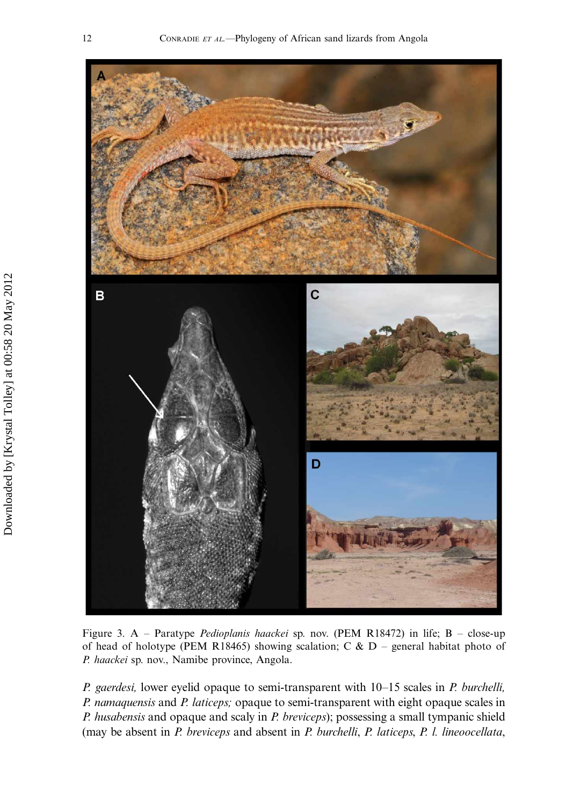

Figure 3. A – Paratype *Pedioplanis haackei* sp. nov. (PEM R18472) in life; B – close-up of head of holotype (PEM R18465) showing scalation; C &  $D$  – general habitat photo of P. haackei sp. nov., Namibe province, Angola.

P. gaerdesi, lower eyelid opaque to semi-transparent with 10–15 scales in P. burchelli, P. namaquensis and P. laticeps; opaque to semi-transparent with eight opaque scales in P. husabensis and opaque and scaly in P. breviceps); possessing a small tympanic shield (may be absent in P. breviceps and absent in P. burchelli, P. laticeps, P. l. lineoocellata,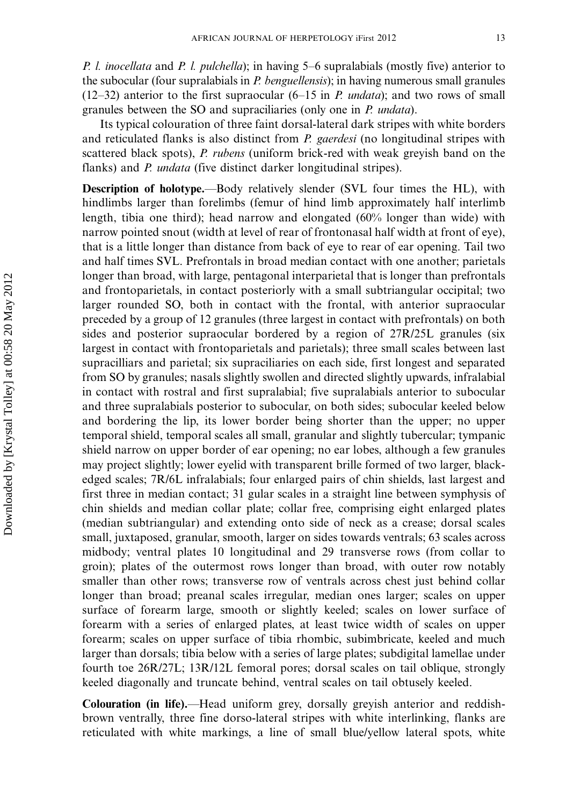P. *l. inocellata* and P. *l. pulchella*); in having 5–6 supralabials (mostly five) anterior to the subocular (four supralabials in  $P$  benguellensis); in having numerous small granules  $(12-32)$  anterior to the first supraocular  $(6-15$  in *P. undata*); and two rows of small granules between the SO and supraciliaries (only one in P. undata).

Its typical colouration of three faint dorsal-lateral dark stripes with white borders and reticulated flanks is also distinct from P. gaerdesi (no longitudinal stripes with scattered black spots), P. rubens (uniform brick-red with weak greyish band on the flanks) and *P. undata* (five distinct darker longitudinal stripes).

Description of holotype.—Body relatively slender (SVL four times the HL), with hindlimbs larger than forelimbs (femur of hind limb approximately half interlimb length, tibia one third); head narrow and elongated (60% longer than wide) with narrow pointed snout (width at level of rear of frontonasal half width at front of eye), that is a little longer than distance from back of eye to rear of ear opening. Tail two and half times SVL. Prefrontals in broad median contact with one another; parietals longer than broad, with large, pentagonal interparietal that is longer than prefrontals and frontoparietals, in contact posteriorly with a small subtriangular occipital; two larger rounded SO, both in contact with the frontal, with anterior supraocular preceded by a group of 12 granules (three largest in contact with prefrontals) on both sides and posterior supraocular bordered by a region of 27R/25L granules (six largest in contact with frontoparietals and parietals); three small scales between last supracilliars and parietal; six supraciliaries on each side, first longest and separated from SO by granules; nasals slightly swollen and directed slightly upwards, infralabial in contact with rostral and first supralabial; five supralabials anterior to subocular and three supralabials posterior to subocular, on both sides; subocular keeled below and bordering the lip, its lower border being shorter than the upper; no upper temporal shield, temporal scales all small, granular and slightly tubercular; tympanic shield narrow on upper border of ear opening; no ear lobes, although a few granules may project slightly; lower eyelid with transparent brille formed of two larger, blackedged scales; 7R/6L infralabials; four enlarged pairs of chin shields, last largest and first three in median contact; 31 gular scales in a straight line between symphysis of chin shields and median collar plate; collar free, comprising eight enlarged plates (median subtriangular) and extending onto side of neck as a crease; dorsal scales small, juxtaposed, granular, smooth, larger on sides towards ventrals; 63 scales across midbody; ventral plates 10 longitudinal and 29 transverse rows (from collar to groin); plates of the outermost rows longer than broad, with outer row notably smaller than other rows; transverse row of ventrals across chest just behind collar longer than broad; preanal scales irregular, median ones larger; scales on upper surface of forearm large, smooth or slightly keeled; scales on lower surface of forearm with a series of enlarged plates, at least twice width of scales on upper forearm; scales on upper surface of tibia rhombic, subimbricate, keeled and much larger than dorsals; tibia below with a series of large plates; subdigital lamellae under fourth toe 26R/27L; 13R/12L femoral pores; dorsal scales on tail oblique, strongly keeled diagonally and truncate behind, ventral scales on tail obtusely keeled.

Colouration (in life).—Head uniform grey, dorsally greyish anterior and reddishbrown ventrally, three fine dorso-lateral stripes with white interlinking, flanks are reticulated with white markings, a line of small blue/yellow lateral spots, white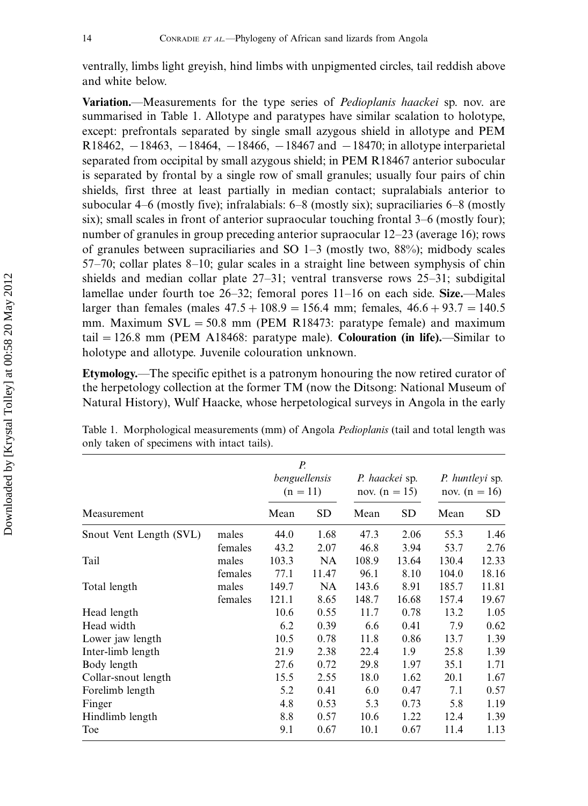ventrally, limbs light greyish, hind limbs with unpigmented circles, tail reddish above and white below.

Variation.—Measurements for the type series of *Pedioplanis haackei* sp. nov. are summarised in Table 1. Allotype and paratypes have similar scalation to holotype, except: prefrontals separated by single small azygous shield in allotype and PEM  $R18462, -18463, -18464, -18466, -18467$  and  $-18470$ ; in allotype interparietal separated from occipital by small azygous shield; in PEM R18467 anterior subocular is separated by frontal by a single row of small granules; usually four pairs of chin shields, first three at least partially in median contact; supralabials anterior to subocular 4-6 (mostly five); infralabials: 6-8 (mostly six); supraciliaries 6-8 (mostly six); small scales in front of anterior supraocular touching frontal 3-6 (mostly four); number of granules in group preceding anterior supraocular 12-23 (average 16); rows of granules between supraciliaries and SO 1-3 (mostly two, 88%); midbody scales 57-70; collar plates 8-10; gular scales in a straight line between symphysis of chin shields and median collar plate 27-31; ventral transverse rows 25-31; subdigital lamellae under fourth toe 26–32; femoral pores 11–16 on each side. Size.—Males larger than females (males  $47.5 + 108.9 = 156.4$  mm; females,  $46.6 + 93.7 = 140.5$ mm. Maximum  $SVL = 50.8$  mm (PEM R18473: paratype female) and maximum tail  $= 126.8$  mm (PEM A18468: paratype male). Colouration (in life).—Similar to holotype and allotype. Juvenile colouration unknown.

Etymology.—The specific epithet is a patronym honouring the now retired curator of the herpetology collection at the former TM (now the Ditsong: National Museum of Natural History), Wulf Haacke, whose herpetological surveys in Angola in the early

|                         |         | Р.<br>benguellensis<br>$(n = 11)$ |           | P. haackei sp.<br>nov. $(n = 15)$ |       | <i>P. huntleyi sp.</i><br>nov. $(n = 16)$ |       |
|-------------------------|---------|-----------------------------------|-----------|-----------------------------------|-------|-------------------------------------------|-------|
| Measurement             |         | Mean                              | <b>SD</b> | Mean                              | SD    | Mean                                      | SD    |
| Snout Vent Length (SVL) | males   | 44.0                              | 1.68      | 47.3                              | 2.06  | 55.3                                      | 1.46  |
|                         | females | 43.2                              | 2.07      | 46.8                              | 3.94  | 53.7                                      | 2.76  |
| Tail                    | males   | 103.3                             | <b>NA</b> | 108.9                             | 13.64 | 130.4                                     | 12.33 |
|                         | females | 77.1                              | 11.47     | 96.1                              | 8.10  | 104.0                                     | 18.16 |
| Total length            | males   | 149.7                             | <b>NA</b> | 143.6                             | 8.91  | 185.7                                     | 11.81 |
|                         | females | 121.1                             | 8.65      | 148.7                             | 16.68 | 157.4                                     | 19.67 |
| Head length             |         | 10.6                              | 0.55      | 11.7                              | 0.78  | 13.2                                      | 1.05  |
| Head width              |         | 6.2                               | 0.39      | 6.6                               | 0.41  | 7.9                                       | 0.62  |
| Lower jaw length        |         | 10.5                              | 0.78      | 11.8                              | 0.86  | 13.7                                      | 1.39  |
| Inter-limb length       |         | 21.9                              | 2.38      | 22.4                              | 1.9   | 25.8                                      | 1.39  |
| Body length             |         | 27.6                              | 0.72      | 29.8                              | 1.97  | 35.1                                      | 1.71  |
| Collar-snout length     |         | 15.5                              | 2.55      | 18.0                              | 1.62  | 20.1                                      | 1.67  |
| Forelimb length         |         | 5.2                               | 0.41      | 6.0                               | 0.47  | 7.1                                       | 0.57  |
| Finger                  |         | 4.8                               | 0.53      | 5.3                               | 0.73  | 5.8                                       | 1.19  |
| Hindlimb length         |         | 8.8                               | 0.57      | 10.6                              | 1.22  | 12.4                                      | 1.39  |
| Toe                     |         | 9.1                               | 0.67      | 10.1                              | 0.67  | 11.4                                      | 1.13  |

Table 1. Morphological measurements (mm) of Angola Pedioplanis (tail and total length was only taken of specimens with intact tails).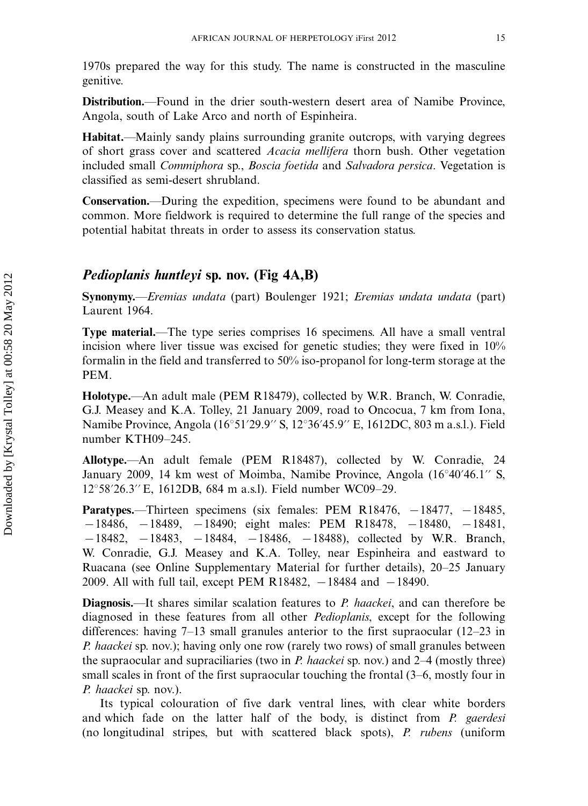1970s prepared the way for this study. The name is constructed in the masculine genitive.

Distribution.—Found in the drier south-western desert area of Namibe Province, Angola, south of Lake Arco and north of Espinheira.

Habitat.—Mainly sandy plains surrounding granite outcrops, with varying degrees of short grass cover and scattered Acacia mellifera thorn bush. Other vegetation included small *Commiphora* sp., *Boscia foetida* and *Salvadora persica*. Vegetation is classified as semi-desert shrubland.

Conservation.—During the expedition, specimens were found to be abundant and common. More fieldwork is required to determine the full range of the species and potential habitat threats in order to assess its conservation status.

## Pedioplanis huntleyi sp. nov. (Fig 4A,B)

Synonymy.—Eremias undata (part) Boulenger 1921; Eremias undata undata (part) Laurent 1964.

**Type material.—The type series comprises 16 specimens. All have a small ventral** incision where liver tissue was excised for genetic studies; they were fixed in 10% formalin in the field and transferred to 50% iso-propanol for long-term storage at the PEM.

Holotype.—An adult male (PEM R18479), collected by W.R. Branch, W. Conradie, G.J. Measey and K.A. Tolley, 21 January 2009, road to Oncocua, 7 km from Iona, Namibe Province, Angola (16°51'29.9" S, 12°36'45.9" E, 1612DC, 803 m a.s.l.). Field number KTH09-245.

Allotype.—An adult female (PEM R18487), collected by W. Conradie, 24 January 2009, 14 km west of Moimba, Namibe Province, Angola  $(16°40'46.1'' S,$ 12°58′26.3′′E, 1612DB, 684 m a.s.l). Field number WC09–29.

**Paratypes.**—Thirteen specimens (six females: PEM R18476,  $-18477$ ,  $-18485$ ,  $-18486$ ,  $-18489$ ,  $-18490$ ; eight males: PEM R18478,  $-18480$ ,  $-18481$ ,  $-18482$ ,  $-18483$ ,  $-18484$ ,  $-18486$ ,  $-18488$ ), collected by W.R. Branch, W. Conradie, G.J. Measey and K.A. Tolley, near Espinheira and eastward to Ruacana (see Online Supplementary Material for further details), 20-25 January 2009. All with full tail, except PEM R18482,  $-18484$  and  $-18490$ .

**Diagnosis.**—It shares similar scalation features to P. haackei, and can therefore be diagnosed in these features from all other Pedioplanis, except for the following differences: having 7-13 small granules anterior to the first supraocular (12-23 in P. haackei sp. nov.); having only one row (rarely two rows) of small granules between the supraocular and supraciliaries (two in P. haackei sp. nov.) and 2–4 (mostly three) small scales in front of the first supraocular touching the frontal (3-6, mostly four in P. haackei sp. nov.).

Its typical colouration of five dark ventral lines, with clear white borders and which fade on the latter half of the body, is distinct from P. gaerdesi (no longitudinal stripes, but with scattered black spots), P. rubens (uniform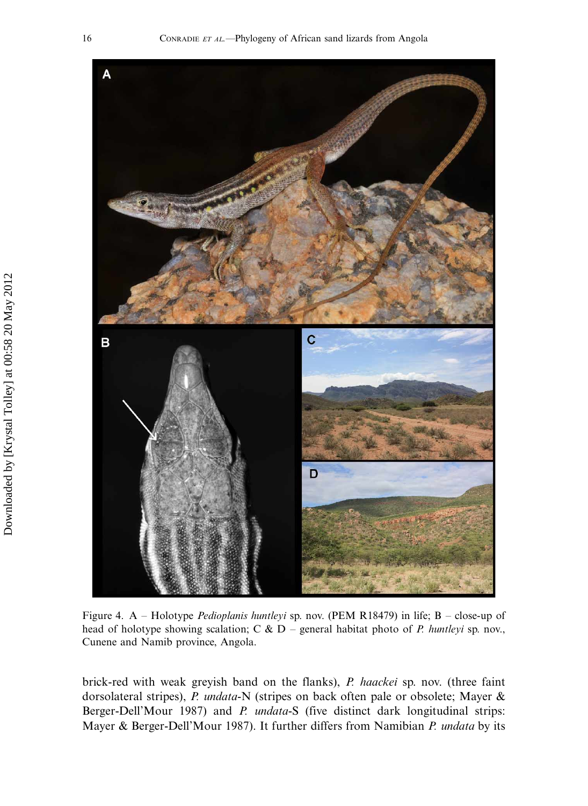

Figure 4. A – Holotype *Pedioplanis huntleyi* sp. nov. (PEM R18479) in life; B – close-up of head of holotype showing scalation; C &  $D$  – general habitat photo of *P. huntleyi* sp. nov., Cunene and Namib province, Angola.

brick-red with weak greyish band on the flanks), P. haackei sp. nov. (three faint dorsolateral stripes), P. undata-N (stripes on back often pale or obsolete; Mayer & Berger-Dell'Mour 1987) and P. undata-S (five distinct dark longitudinal strips: Mayer & Berger-Dell'Mour 1987). It further differs from Namibian P. undata by its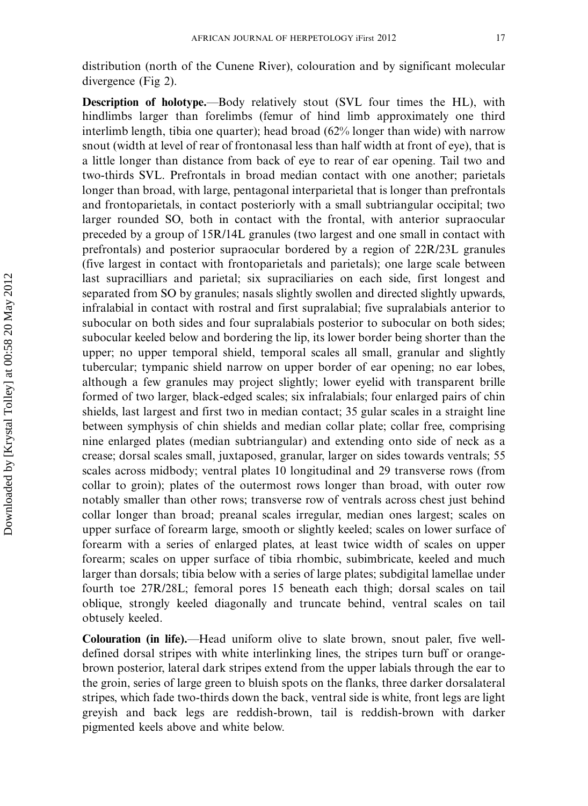distribution (north of the Cunene River), colouration and by significant molecular divergence (Fig 2).

Description of holotype.—Body relatively stout (SVL four times the HL), with hindlimbs larger than forelimbs (femur of hind limb approximately one third interlimb length, tibia one quarter); head broad (62% longer than wide) with narrow snout (width at level of rear of frontonasal less than half width at front of eye), that is a little longer than distance from back of eye to rear of ear opening. Tail two and two-thirds SVL. Prefrontals in broad median contact with one another; parietals longer than broad, with large, pentagonal interparietal that is longer than prefrontals and frontoparietals, in contact posteriorly with a small subtriangular occipital; two larger rounded SO, both in contact with the frontal, with anterior supraocular preceded by a group of 15R/14L granules (two largest and one small in contact with prefrontals) and posterior supraocular bordered by a region of 22R/23L granules (five largest in contact with frontoparietals and parietals); one large scale between last supracilliars and parietal; six supraciliaries on each side, first longest and separated from SO by granules; nasals slightly swollen and directed slightly upwards, infralabial in contact with rostral and first supralabial; five supralabials anterior to subocular on both sides and four supralabials posterior to subocular on both sides; subocular keeled below and bordering the lip, its lower border being shorter than the upper; no upper temporal shield, temporal scales all small, granular and slightly tubercular; tympanic shield narrow on upper border of ear opening; no ear lobes, although a few granules may project slightly; lower eyelid with transparent brille formed of two larger, black-edged scales; six infralabials; four enlarged pairs of chin shields, last largest and first two in median contact; 35 gular scales in a straight line between symphysis of chin shields and median collar plate; collar free, comprising nine enlarged plates (median subtriangular) and extending onto side of neck as a crease; dorsal scales small, juxtaposed, granular, larger on sides towards ventrals; 55 scales across midbody; ventral plates 10 longitudinal and 29 transverse rows (from collar to groin); plates of the outermost rows longer than broad, with outer row notably smaller than other rows; transverse row of ventrals across chest just behind collar longer than broad; preanal scales irregular, median ones largest; scales on upper surface of forearm large, smooth or slightly keeled; scales on lower surface of forearm with a series of enlarged plates, at least twice width of scales on upper forearm; scales on upper surface of tibia rhombic, subimbricate, keeled and much larger than dorsals; tibia below with a series of large plates; subdigital lamellae under fourth toe 27R/28L; femoral pores 15 beneath each thigh; dorsal scales on tail oblique, strongly keeled diagonally and truncate behind, ventral scales on tail obtusely keeled.

Colouration (in life).—Head uniform olive to slate brown, snout paler, five welldefined dorsal stripes with white interlinking lines, the stripes turn buff or orangebrown posterior, lateral dark stripes extend from the upper labials through the ear to the groin, series of large green to bluish spots on the flanks, three darker dorsalateral stripes, which fade two-thirds down the back, ventral side is white, front legs are light greyish and back legs are reddish-brown, tail is reddish-brown with darker pigmented keels above and white below.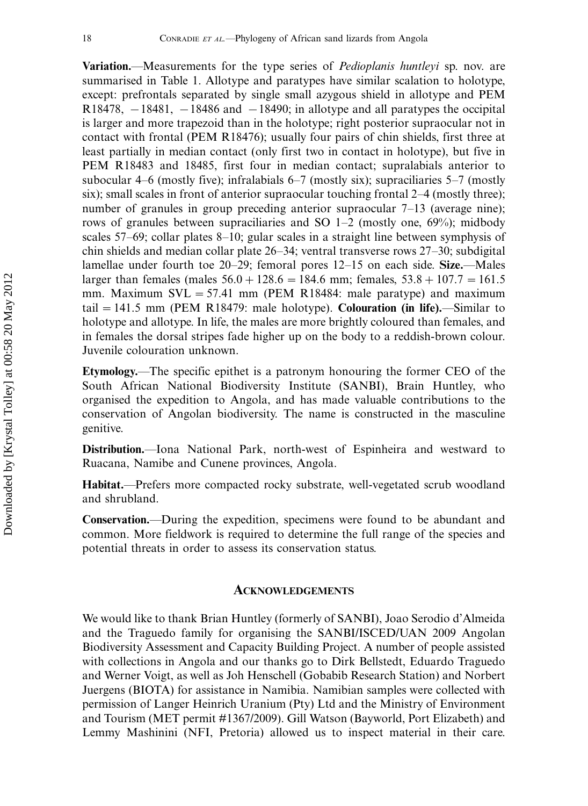**Variation.**—Measurements for the type series of *Pedioplanis huntleyi* sp. nov. are summarised in Table 1. Allotype and paratypes have similar scalation to holotype, except: prefrontals separated by single small azygous shield in allotype and PEM  $R18478, -18481, -18486$  and  $-18490$ ; in allotype and all paratypes the occipital is larger and more trapezoid than in the holotype; right posterior supraocular not in contact with frontal (PEM R18476); usually four pairs of chin shields, first three at least partially in median contact (only first two in contact in holotype), but five in PEM R18483 and 18485, first four in median contact; supralabials anterior to subocular 4-6 (mostly five); infralabials 6-7 (mostly six); supraciliaries 5-7 (mostly six); small scales in front of anterior supraocular touching frontal 2-4 (mostly three); number of granules in group preceding anterior supraocular 7-13 (average nine); rows of granules between supraciliaries and SO 1-2 (mostly one, 69%); midbody scales 57-69; collar plates 8-10; gular scales in a straight line between symphysis of chin shields and median collar plate 26-34; ventral transverse rows 27-30; subdigital lamellae under fourth toe 20–29; femoral pores 12–15 on each side. Size.—Males larger than females (males  $56.0 + 128.6 = 184.6$  mm; females,  $53.8 + 107.7 = 161.5$ mm. Maximum  $SVL = 57.41$  mm (PEM R18484: male paratype) and maximum tail  $= 141.5$  mm (PEM R18479: male holotype). Colouration (in life).—Similar to holotype and allotype. In life, the males are more brightly coloured than females, and in females the dorsal stripes fade higher up on the body to a reddish-brown colour. Juvenile colouration unknown.

Etymology.—The specific epithet is a patronym honouring the former CEO of the South African National Biodiversity Institute (SANBI), Brain Huntley, who organised the expedition to Angola, and has made valuable contributions to the conservation of Angolan biodiversity. The name is constructed in the masculine genitive.

Distribution.—Iona National Park, north-west of Espinheira and westward to Ruacana, Namibe and Cunene provinces, Angola.

Habitat.-Prefers more compacted rocky substrate, well-vegetated scrub woodland and shrubland.

**Conservation.**—During the expedition, specimens were found to be abundant and common. More fieldwork is required to determine the full range of the species and potential threats in order to assess its conservation status.

#### ACKNOWLEDGEMENTS

We would like to thank Brian Huntley (formerly of SANBI), Joao Serodio d'Almeida and the Traguedo family for organising the SANBI/ISCED/UAN 2009 Angolan Biodiversity Assessment and Capacity Building Project. A number of people assisted with collections in Angola and our thanks go to Dirk Bellstedt, Eduardo Traguedo and Werner Voigt, as well as Joh Henschell (Gobabib Research Station) and Norbert Juergens (BIOTA) for assistance in Namibia. Namibian samples were collected with permission of Langer Heinrich Uranium (Pty) Ltd and the Ministry of Environment and Tourism (MET permit #1367/2009). Gill Watson (Bayworld, Port Elizabeth) and Lemmy Mashinini (NFI, Pretoria) allowed us to inspect material in their care.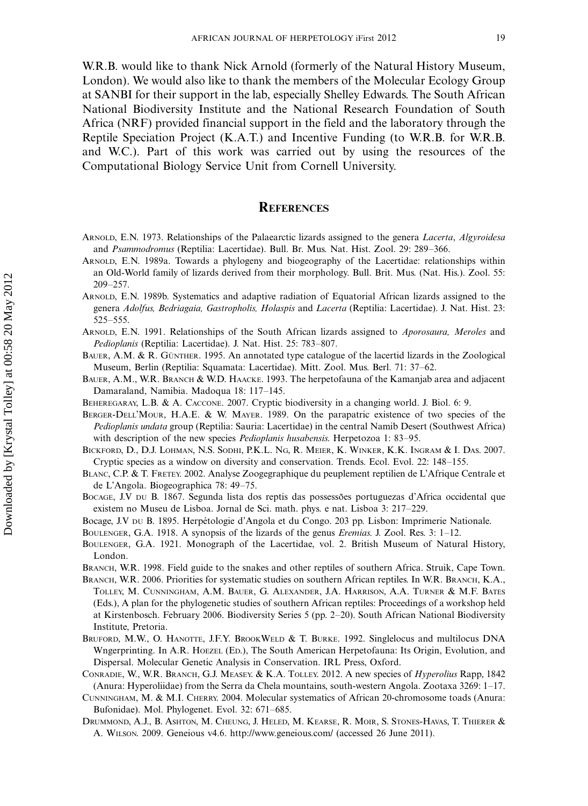W.R.B. would like to thank Nick Arnold (formerly of the Natural History Museum, London). We would also like to thank the members of the Molecular Ecology Group at SANBI for their support in the lab, especially Shelley Edwards. The South African National Biodiversity Institute and the National Research Foundation of South Africa (NRF) provided financial support in the field and the laboratory through the Reptile Speciation Project (K.A.T.) and Incentive Funding (to W.R.B. for W.R.B. and W.C.). Part of this work was carried out by using the resources of the Computational Biology Service Unit from Cornell University.

#### **REFERENCES**

- ARNOLD, E.N. 1973. Relationships of the Palaearctic lizards assigned to the genera *Lacerta*, *Algyroidesa* and Psammodromus (Reptilia: Lacertidae). Bull. Br. Mus. Nat. Hist. Zool. 29: 289-366.
- ARNOLD, E.N. 1989a. Towards a phylogeny and biogeography of the Lacertidae: relationships within an Old-World family of lizards derived from their morphology. Bull. Brit. Mus. (Nat. His.). Zool. 55: 209-257.
- ARNOLD, E.N. 1989b. Systematics and adaptive radiation of Equatorial African lizards assigned to the genera Adolfus, Bedriagaia, Gastropholis, Holaspis and Lacerta (Reptilia: Lacertidae). J. Nat. Hist. 23: 525-555.
- ARNOLD, E.N. 1991. Relationships of the South African lizards assigned to Aporosaura, Meroles and Pedioplanis (Reptilia: Lacertidae). J. Nat. Hist. 25: 783-807.
- BAUER, A.M.  $\&$  R. GÜNTHER. 1995. An annotated type catalogue of the lacertid lizards in the Zoological Museum, Berlin (Reptilia: Squamata: Lacertidae). Mitt. Zool. Mus. Berl. 71: 37-62.
- BAUER, A.M., W.R. BRANCH & W.D. HAACKE. 1993. The herpetofauna of the Kamanjab area and adjacent Damaraland, Namibia. Madoqua 18: 117-145.
- BEHEREGARAY, L.B. & A. CACCONE. 2007. Cryptic biodiversity in a changing world. J. Biol. 6: 9.
- BERGER-DELL'MOUR, H.A.E. & W. MAYER. 1989. On the parapatric existence of two species of the Pedioplanis undata group (Reptilia: Sauria: Lacertidae) in the central Namib Desert (Southwest Africa) with description of the new species *Pedioplanis husabensis*. Herpetozoa 1: 83-95.
- BICKFORD, D., D.J. LOHMAN, N.S. SODHI, P.K.L. NG, R. MEIER, K. WINKER, K.K. INGRAM & I. DAS. 2007. Cryptic species as a window on diversity and conservation. Trends. Ecol. Evol. 22: 148-155.
- BLANC, C.P. & T. FRETEY. 2002. Analyse Zoogegraphique du peuplement reptilien de L'Afrique Centrale et de L'Angola. Biogeographica 78: 49-75.
- BOCAGE, J.V DU B. 1867. Segunda lista dos reptis das possessões portuguezas d'Africa occidental que existem no Museu de Lisboa. Jornal de Sci. math. phys. e nat. Lisboa 3: 217-229.
- Bocage, J.V DU B. 1895. Herpétologie d'Angola et du Congo. 203 pp. Lisbon: Imprimerie Nationale.
- BOULENGER, G.A. 1918. A synopsis of the lizards of the genus *Eremias*. J. Zool. Res. 3: 1–12.
- BOULENGER, G.A. 1921. Monograph of the Lacertidae, vol. 2. British Museum of Natural History, London.
- BRANCH, W.R. 1998. Field guide to the snakes and other reptiles of southern Africa. Struik, Cape Town.
- BRANCH, W.R. 2006. Priorities for systematic studies on southern African reptiles. In W.R. BRANCH, K.A., TOLLEY, M. CUNNINGHAM, A.M. BAUER, G. ALEXANDER, J.A. HARRISON, A.A. TURNER & M.F. BATES (Eds.), A plan for the phylogenetic studies of southern African reptiles: Proceedings of a workshop held at Kirstenbosch. February 2006. Biodiversity Series 5 (pp. 2-20). South African National Biodiversity Institute, Pretoria.
- BRUFORD, M.W., O. HANOTTE, J.F.Y. BROOKWELD & T. BURKE. 1992. Singlelocus and multilocus DNA Wngerprinting. In A.R. HOEZEL (ED.), The South American Herpetofauna: Its Origin, Evolution, and Dispersal. Molecular Genetic Analysis in Conservation. IRL Press, Oxford.
- CONRADIE, W., W.R. BRANCH, G.J. MEASEY. & K.A. TOLLEY. 2012. A new species of Hyperolius Rapp, 1842 (Anura: Hyperoliidae) from the Serra da Chela mountains, south-western Angola. Zootaxa 3269: 1-17.
- CUNNINGHAM, M. & M.I. CHERRY. 2004. Molecular systematics of African 20-chromosome toads (Anura: Bufonidae). Mol. Phylogenet. Evol. 32: 671-685.
- DRUMMOND, A.J., B. ASHTON, M. CHEUNG, J. HELED, M. KEARSE, R. MOIR, S. STONES-HAVAS, T. THIERER & A. WILSON. 2009. Geneious v4.6. [http://www.geneious.com/](http://beast.bio.ed.ac.uk/Tracer) (accessed 26 June 2011).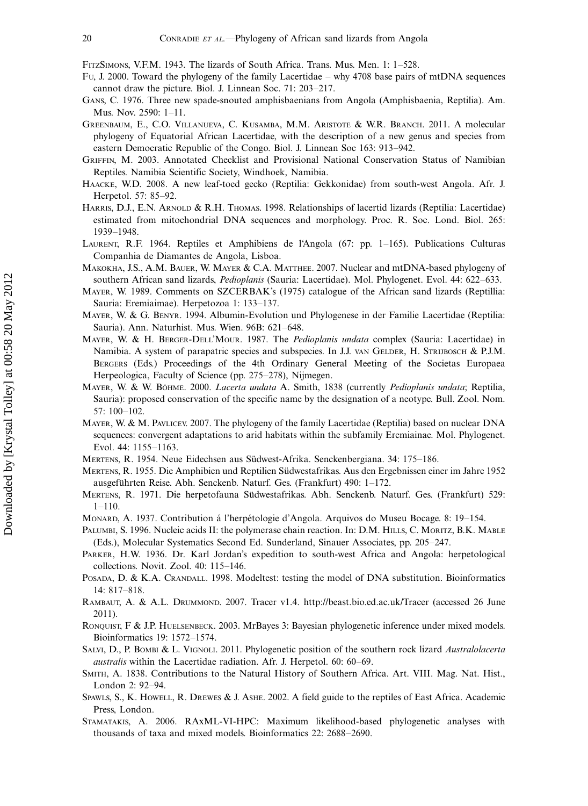- FITZSIMONS, V.F.M. 1943. The lizards of South Africa. Trans. Mus. Men. 1: 1–528.
- Fu, J. 2000. Toward the phylogeny of the family Lacertidae why 4708 base pairs of mtDNA sequences cannot draw the picture. Biol. J. Linnean Soc. 71: 203-217.
- GANS, C. 1976. Three new spade-snouted amphisbaenians from Angola (Amphisbaenia, Reptilia). Am. Mus. Nov. 2590: 1-11.
- GREENBAUM, E., C.O. VILLANUEVA, C. KUSAMBA, M.M. ARISTOTE & W.R. BRANCH. 2011. A molecular phylogeny of Equatorial African Lacertidae, with the description of a new genus and species from eastern Democratic Republic of the Congo. Biol. J. Linnean Soc 163: 913-942.
- GRIFFIN, M. 2003. Annotated Checklist and Provisional National Conservation Status of Namibian Reptiles. Namibia Scientific Society, Windhoek, Namibia.
- HAACKE, W.D. 2008. A new leaf-toed gecko (Reptilia: Gekkonidae) from south-west Angola. Afr. J. Herpetol. 57: 85-92.
- HARRIS, D.J., E.N. ARNOLD & R.H. THOMAS. 1998. Relationships of lacertid lizards (Reptilia: Lacertidae) estimated from mitochondrial DNA sequences and morphology. Proc. R. Soc. Lond. Biol. 265: 1939-1948.
- LAURENT, R.F. 1964. Reptiles et Amphibiens de l'Angola (67: pp. 1-165). Publications Culturas Companhia de Diamantes de Angola, Lisboa.
- MAKOKHA, J.S., A.M. BAUER, W. MAYER & C.A. MATTHEE. 2007. Nuclear and mtDNA-based phylogeny of southern African sand lizards, *Pedioplanis* (Sauria: Lacertidae). Mol. Phylogenet. Evol. 44: 622–633.
- MAYER, W. 1989. Comments on SZCERBAK's (1975) catalogue of the African sand lizards (Reptillia: Sauria: Eremiaimae). Herpetozoa 1: 133-137.
- MAYER, W. & G. BENYR. 1994. Albumin-Evolution und Phylogenese in der Familie Lacertidae (Reptilia: Sauria). Ann. Naturhist. Mus. Wien. 96B: 621-648.
- MAYER, W. & H. BERGER-DELL'MOUR. 1987. The *Pedioplanis undata* complex (Sauria: Lacertidae) in Namibia. A system of parapatric species and subspecies. In J.J. van GELDER, H. STRIJBOSCH & P.J.M. BERGERS (Eds.) Proceedings of the 4th Ordinary General Meeting of the Societas Europaea Herpeologica, Faculty of Science (pp. 275-278), Nijmegen.
- MAYER, W. & W. BÖHME. 2000. Lacerta undata A. Smith, 1838 (currently Pedioplanis undata; Reptilia, Sauria): proposed conservation of the specific name by the designation of a neotype. Bull. Zool. Nom. 57: 100-102.
- MAYER, W. & M. PAVLICEV. 2007. The phylogeny of the family Lacertidae (Reptilia) based on nuclear DNA sequences: convergent adaptations to arid habitats within the subfamily Eremiainae. Mol. Phylogenet. Evol. 44: 1155-1163.
- MERTENS, R. 1954. Neue Eidechsen aus Südwest-Afrika. Senckenbergiana. 34: 175–186.
- MERTENS, R. 1955. Die Amphibien und Reptilien Südwestafrikas. Aus den Ergebnissen einer im Jahre 1952 ausgeführten Reise. Abh. Senckenb. Naturf. Ges. (Frankfurt) 490: 1-172.
- MERTENS, R. 1971. Die herpetofauna Südwestafrikas. Abh. Senckenb. Naturf. Ges. (Frankfurt) 529: 1-110.
- Monare, A. 1937. Contribution á l'herpétologie d'Angola. Arquivos do Museu Bocage. 8: 19–154.
- PALUMBI, S. 1996. Nucleic acids II: the polymerase chain reaction. In: D.M. HILLS, C. MORITZ, B.K. MABLE (Eds.), Molecular Systematics Second Ed. Sunderland, Sinauer Associates, pp. 205-247.
- PARKER, H.W. 1936. Dr. Karl Jordan's expedition to south-west Africa and Angola: herpetological collections. Novit. Zool. 40: 115-146.
- POSADA, D. & K.A. CRANDALL. 1998. Modeltest: testing the model of DNA substitution. Bioinformatics 14: 817-818.
- RAMBAUT, A. & A.L. DRUMMOND. 2007. Tracer v1.4. http://beast.bio.ed.ac.uk/Tracer (accessed 26 June 2011).
- RONQUIST, F & J.P. HUELSENBECK. 2003. MrBayes 3: Bayesian phylogenetic inference under mixed models. Bioinformatics 19: 1572-1574.
- SALVI, D., P. BOMBI & L. VIGNOLI. 2011. Phylogenetic position of the southern rock lizard Australolacerta australis within the Lacertidae radiation. Afr. J. Herpetol. 60: 60-69.
- SMITH, A. 1838. Contributions to the Natural History of Southern Africa. Art. VIII. Mag. Nat. Hist., London 2: 92-94.
- SPAWLS, S., K. HOWELL, R. DREWES & J. ASHE. 2002. A field guide to the reptiles of East Africa. Academic Press, London.
- STAMATAKIS, A. 2006. RAxML-VI-HPC: Maximum likelihood-based phylogenetic analyses with thousands of taxa and mixed models. Bioinformatics 22: 2688-2690.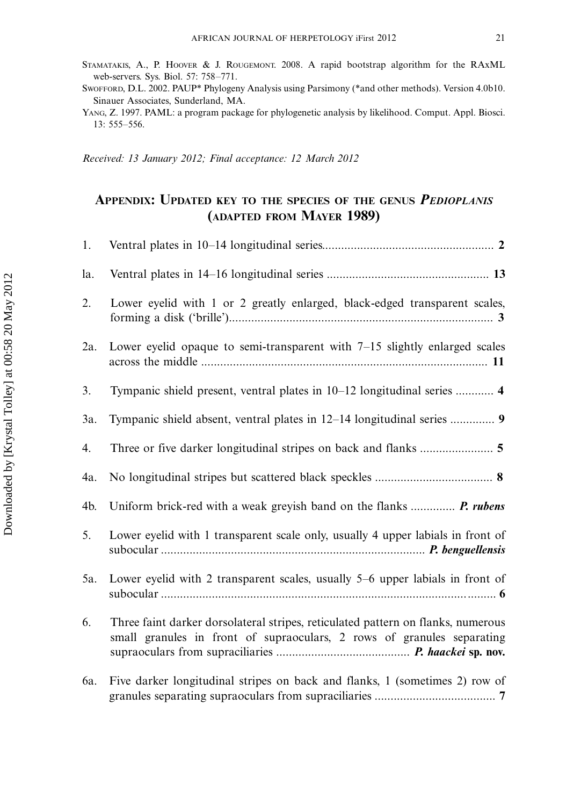Received: 13 January 2012; Final acceptance: 12 March 2012

# APPENDIX: UPDATED KEY TO THE SPECIES OF THE GENUS PEDIOPLANIS (ADAPTED FROM MAYER 1989)

| 1.  |                                                                                                                                                            |
|-----|------------------------------------------------------------------------------------------------------------------------------------------------------------|
| la. |                                                                                                                                                            |
| 2.  | Lower eyelid with 1 or 2 greatly enlarged, black-edged transparent scales,                                                                                 |
| 2a. | Lower eyelid opaque to semi-transparent with $7-15$ slightly enlarged scales                                                                               |
| 3.  | Tympanic shield present, ventral plates in 10-12 longitudinal series  4                                                                                    |
| 3a. | Tympanic shield absent, ventral plates in 12-14 longitudinal series  9                                                                                     |
| 4.  | Three or five darker longitudinal stripes on back and flanks  5                                                                                            |
| 4a. |                                                                                                                                                            |
| 4b. | Uniform brick-red with a weak greyish band on the flanks  P. rubens                                                                                        |
| 5.  | Lower eyelid with 1 transparent scale only, usually 4 upper labials in front of                                                                            |
| 5a. | Lower eyelid with 2 transparent scales, usually 5–6 upper labials in front of                                                                              |
| 6.  | Three faint darker dorsolateral stripes, reticulated pattern on flanks, numerous<br>small granules in front of supraoculars, 2 rows of granules separating |
| 6a. | Five darker longitudinal stripes on back and flanks, 1 (sometimes 2) row of                                                                                |

SWOFFORD, D.L. 2002. PAUP\* Phylogeny Analysis using Parsimony (\*and other methods). Version 4.0b10. Sinauer Associates, Sunderland, MA.

YANG, Z. 1997. PAML: a program package for phylogenetic analysis by likelihood. Comput. Appl. Biosci. 13: 555-556.